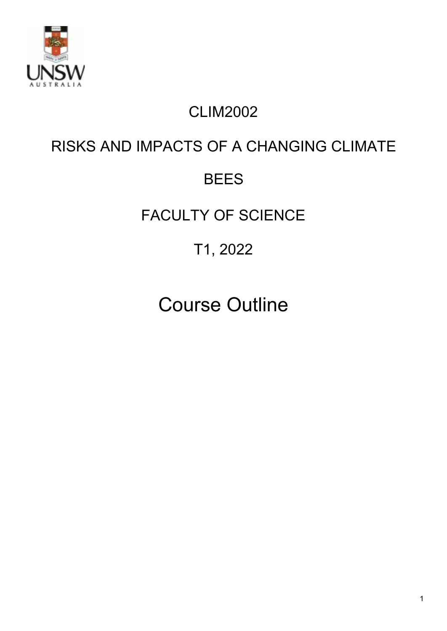

# CLIM2002

# RISKS AND IMPACTS OF A CHANGING CLIMATE

# BEES

# FACULTY OF SCIENCE

# T1, 2022

# Course Outline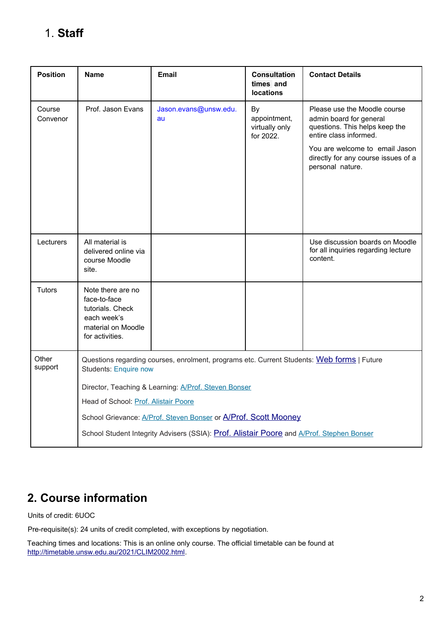# 1. **Staff**

| <b>Position</b>    | <b>Name</b>                                                                                                                | <b>Email</b>                | <b>Consultation</b><br>times and<br><b>locations</b> | <b>Contact Details</b>                                                                                              |
|--------------------|----------------------------------------------------------------------------------------------------------------------------|-----------------------------|------------------------------------------------------|---------------------------------------------------------------------------------------------------------------------|
| Course<br>Convenor | Prof. Jason Evans                                                                                                          | Jason.evans@unsw.edu.<br>au | By<br>appointment,<br>virtually only<br>for 2022.    | Please use the Moodle course<br>admin board for general<br>questions. This helps keep the<br>entire class informed. |
|                    |                                                                                                                            |                             |                                                      | You are welcome to email Jason<br>directly for any course issues of a<br>personal nature.                           |
|                    |                                                                                                                            |                             |                                                      |                                                                                                                     |
| Lecturers          | All material is<br>delivered online via<br>course Moodle<br>site.                                                          |                             |                                                      | Use discussion boards on Moodle<br>for all inquiries regarding lecture<br>content.                                  |
| Tutors             | Note there are no<br>face-to-face<br>tutorials. Check<br>each week's<br>material on Moodle<br>for activities.              |                             |                                                      |                                                                                                                     |
| Other<br>support   | Questions regarding courses, enrolment, programs etc. Current Students: Web forms   Future<br><b>Students: Enquire now</b> |                             |                                                      |                                                                                                                     |
|                    | Director, Teaching & Learning: A/Prof. Steven Bonser                                                                       |                             |                                                      |                                                                                                                     |
|                    | Head of School: Prof. Alistair Poore                                                                                       |                             |                                                      |                                                                                                                     |
|                    | School Grievance: <b>A/Prof. Steven Bonser or A/Prof. Scott Mooney</b>                                                     |                             |                                                      |                                                                                                                     |
|                    | School Student Integrity Advisers (SSIA): Prof. Alistair Poore and A/Prof. Stephen Bonser                                  |                             |                                                      |                                                                                                                     |

# **2. Course information**

Units of credit: 6UOC

Pre-requisite(s): 24 units of credit completed, with exceptions by negotiation.

Teaching times and locations: This is an online only course. The official timetable can be found at <http://timetable.unsw.edu.au/2021/CLIM2002.html>.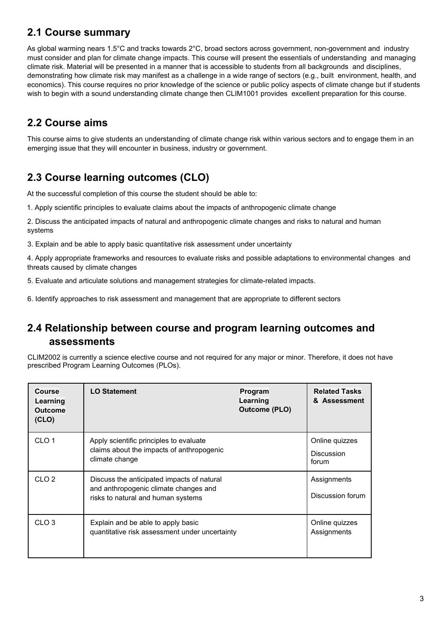#### **2.1 Course summary**

As global warming nears 1.5°C and tracks towards 2°C, broad sectors across government, non-government and industry must consider and plan for climate change impacts. This course will present the essentials of understanding and managing climate risk. Material will be presented in a manner that is accessible to students from all backgrounds and disciplines, demonstrating how climate risk may manifest as a challenge in a wide range of sectors (e.g., built environment, health, and economics). This course requires no prior knowledge of the science or public policy aspects of climate change but if students wish to begin with a sound understanding climate change then CLIM1001 provides excellent preparation for this course.

#### **2.2 Course aims**

This course aims to give students an understanding of climate change risk within various sectors and to engage them in an emerging issue that they will encounter in business, industry or government.

### **2.3 Course learning outcomes (CLO)**

At the successful completion of this course the student should be able to:

1. Apply scientific principles to evaluate claims about the impacts of anthropogenic climate change

2. Discuss the anticipated impacts of natural and anthropogenic climate changes and risks to natural and human systems

3. Explain and be able to apply basic quantitative risk assessment under uncertainty

4. Apply appropriate frameworks and resources to evaluate risks and possible adaptations to environmental changes and threats caused by climate changes

5. Evaluate and articulate solutions and management strategies for climate-related impacts.

6. Identify approaches to risk assessment and management that are appropriate to different sectors

#### **2.4 Relationship between course and program learning outcomes and assessments**

CLIM2002 is currently a science elective course and not required for any major or minor. Therefore, it does not have prescribed Program Learning Outcomes (PLOs).

| Course<br>Learning<br><b>Outcome</b><br>(CLO) | <b>LO Statement</b>                                                                                                       | Program<br>Learning<br><b>Outcome (PLO)</b> | <b>Related Tasks</b><br>& Assessment         |
|-----------------------------------------------|---------------------------------------------------------------------------------------------------------------------------|---------------------------------------------|----------------------------------------------|
| CLO <sub>1</sub>                              | Apply scientific principles to evaluate<br>claims about the impacts of anthropogenic<br>climate change                    |                                             | Online quizzes<br><b>Discussion</b><br>forum |
| CLO <sub>2</sub>                              | Discuss the anticipated impacts of natural<br>and anthropogenic climate changes and<br>risks to natural and human systems |                                             | Assignments<br>Discussion forum              |
| CLO <sub>3</sub>                              | Explain and be able to apply basic<br>quantitative risk assessment under uncertainty                                      |                                             | Online quizzes<br>Assignments                |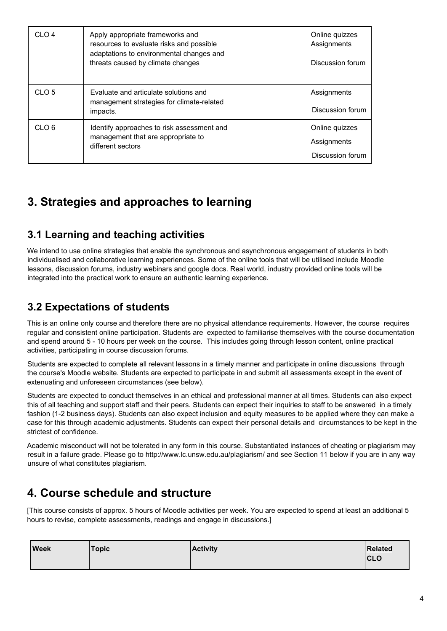| CLO <sub>4</sub>  | Apply appropriate frameworks and<br>resources to evaluate risks and possible<br>adaptations to environmental changes and<br>threats caused by climate changes | Online quizzes<br>Assignments<br>Discussion forum |
|-------------------|---------------------------------------------------------------------------------------------------------------------------------------------------------------|---------------------------------------------------|
| CI <sub>O</sub> 5 | Evaluate and articulate solutions and<br>management strategies for climate-related<br>impacts.                                                                | Assignments<br>Discussion forum                   |
| CLO <sub>6</sub>  | Identify approaches to risk assessment and<br>management that are appropriate to<br>different sectors                                                         | Online quizzes<br>Assignments<br>Discussion forum |

# **3. Strategies and approaches to learning**

#### **3.1 Learning and teaching activities**

We intend to use online strategies that enable the synchronous and asynchronous engagement of students in both individualised and collaborative learning experiences. Some of the online tools that will be utilised include Moodle lessons, discussion forums, industry webinars and google docs. Real world, industry provided online tools will be integrated into the practical work to ensure an authentic learning experience.

#### **3.2 Expectations of students**

This is an online only course and therefore there are no physical attendance requirements. However, the course requires regular and consistent online participation. Students are expected to familiarise themselves with the course documentation and spend around 5 - 10 hours per week on the course. This includes going through lesson content, online practical activities, participating in course discussion forums.

Students are expected to complete all relevant lessons in a timely manner and participate in online discussions through the course's Moodle website. Students are expected to participate in and submit all assessments except in the event of extenuating and unforeseen circumstances (see below).

Students are expected to conduct themselves in an ethical and professional manner at all times. Students can also expect this of all teaching and support staff and their peers. Students can expect their inquiries to staff to be answered in a timely fashion (1-2 business days). Students can also expect inclusion and equity measures to be applied where they can make a case for this through academic adjustments. Students can expect their personal details and circumstances to be kept in the strictest of confidence.

Academic misconduct will not be tolerated in any form in this course. Substantiated instances of cheating or plagiarism may result in a failure grade. Please go to http://www.lc.unsw.edu.au/plagiarism/ and see Section 11 below if you are in any way unsure of what constitutes plagiarism.

# **4. Course schedule and structure**

[This course consists of approx. 5 hours of Moodle activities per week. You are expected to spend at least an additional 5 hours to revise, complete assessments, readings and engage in discussions.]

| <b>Week</b> | <b>Topic</b> | <b>Activity</b> | Related    |
|-------------|--------------|-----------------|------------|
|             |              |                 | <b>CLO</b> |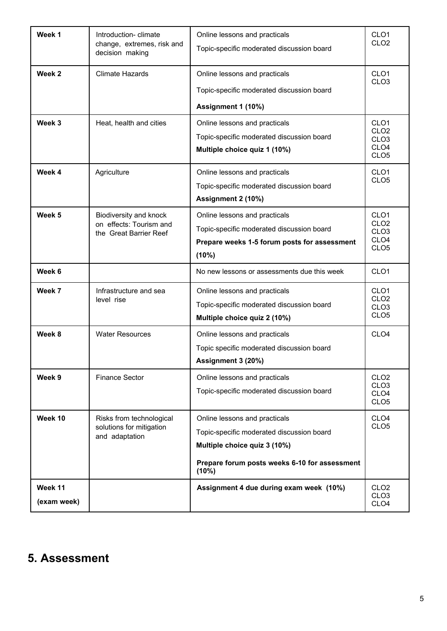| Week 1                 | Introduction-climate<br>change, extremes, risk and<br>decision making       | Online lessons and practicals<br>Topic-specific moderated discussion board                                                                                           | CLO <sub>1</sub><br>CLO <sub>2</sub>                                                             |
|------------------------|-----------------------------------------------------------------------------|----------------------------------------------------------------------------------------------------------------------------------------------------------------------|--------------------------------------------------------------------------------------------------|
| Week <sub>2</sub>      | <b>Climate Hazards</b>                                                      | Online lessons and practicals<br>Topic-specific moderated discussion board<br>Assignment 1 (10%)                                                                     | CLO <sub>1</sub><br>CLO <sub>3</sub>                                                             |
| Week 3                 | Heat, health and cities                                                     | Online lessons and practicals<br>Topic-specific moderated discussion board<br>Multiple choice quiz 1 (10%)                                                           | CLO <sub>1</sub><br>CLO <sub>2</sub><br>CLO <sub>3</sub><br>CLO <sub>4</sub><br>CLO <sub>5</sub> |
| Week 4                 | Agriculture                                                                 | Online lessons and practicals<br>Topic-specific moderated discussion board<br>Assignment 2 (10%)                                                                     | CLO <sub>1</sub><br>CLO <sub>5</sub>                                                             |
| Week 5                 | Biodiversity and knock<br>on effects: Tourism and<br>the Great Barrier Reef | Online lessons and practicals<br>Topic-specific moderated discussion board<br>Prepare weeks 1-5 forum posts for assessment<br>(10%)                                  | CLO <sub>1</sub><br>CLO <sub>2</sub><br>CLO <sub>3</sub><br>CLO <sub>4</sub><br>CLO <sub>5</sub> |
| Week 6                 |                                                                             | No new lessons or assessments due this week                                                                                                                          | CLO <sub>1</sub>                                                                                 |
| Week 7                 | Infrastructure and sea<br>level rise                                        | Online lessons and practicals<br>Topic-specific moderated discussion board<br>Multiple choice quiz 2 (10%)                                                           | CLO <sub>1</sub><br>CLO <sub>2</sub><br>CLO <sub>3</sub><br>CLO <sub>5</sub>                     |
| Week 8                 | <b>Water Resources</b>                                                      | Online lessons and practicals<br>Topic specific moderated discussion board<br>Assignment 3 (20%)                                                                     | CLO <sub>4</sub>                                                                                 |
| Week 9                 | <b>Finance Sector</b>                                                       | Online lessons and practicals<br>Topic-specific moderated discussion board                                                                                           | CLO <sub>2</sub><br>CLO <sub>3</sub><br>CLO <sub>4</sub><br>CLO <sub>5</sub>                     |
| Week 10                | Risks from technological<br>solutions for mitigation<br>and adaptation      | Online lessons and practicals<br>Topic-specific moderated discussion board<br>Multiple choice quiz 3 (10%)<br>Prepare forum posts weeks 6-10 for assessment<br>(10%) | CLO <sub>4</sub><br>CLO <sub>5</sub>                                                             |
| Week 11<br>(exam week) |                                                                             | Assignment 4 due during exam week (10%)                                                                                                                              | CLO <sub>2</sub><br>CLO <sub>3</sub><br>CLO <sub>4</sub>                                         |

# **5. Assessment**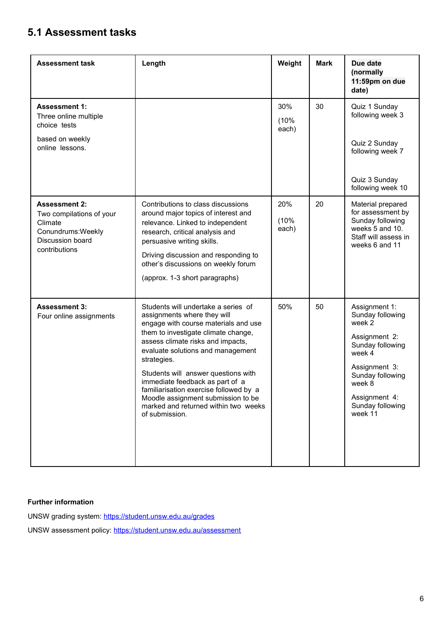### **5.1 Assessment tasks**

| <b>Assessment task</b>                                                                                                 | Length                                                                                                                                                                                                                                                                                                                                                                                                                                                         | Weight               | <b>Mark</b> | Due date<br>(normally<br>11:59pm on due<br>date)                                                                                                                                          |
|------------------------------------------------------------------------------------------------------------------------|----------------------------------------------------------------------------------------------------------------------------------------------------------------------------------------------------------------------------------------------------------------------------------------------------------------------------------------------------------------------------------------------------------------------------------------------------------------|----------------------|-------------|-------------------------------------------------------------------------------------------------------------------------------------------------------------------------------------------|
| <b>Assessment 1:</b><br>Three online multiple<br>choice tests<br>based on weekly<br>online lessons.                    |                                                                                                                                                                                                                                                                                                                                                                                                                                                                | 30%<br>(10%<br>each) | 30          | Quiz 1 Sunday<br>following week 3<br>Quiz 2 Sunday<br>following week 7<br>Quiz 3 Sunday<br>following week 10                                                                              |
| <b>Assessment 2:</b><br>Two compilations of your<br>Climate<br>Conundrums: Weekly<br>Discussion board<br>contributions | Contributions to class discussions<br>around major topics of interest and<br>relevance. Linked to independent<br>research, critical analysis and<br>persuasive writing skills.<br>Driving discussion and responding to<br>other's discussions on weekly forum<br>(approx. 1-3 short paragraphs)                                                                                                                                                                | 20%<br>(10%<br>each) | 20          | Material prepared<br>for assessment by<br>Sunday following<br>weeks 5 and 10.<br>Staff will assess in<br>weeks 6 and 11                                                                   |
| <b>Assessment 3:</b><br>Four online assignments                                                                        | Students will undertake a series of<br>assignments where they will<br>engage with course materials and use<br>them to investigate climate change,<br>assess climate risks and impacts,<br>evaluate solutions and management<br>strategies.<br>Students will answer questions with<br>immediate feedback as part of a<br>familiarisation exercise followed by a<br>Moodle assignment submission to be<br>marked and returned within two weeks<br>of submission. | 50%                  | 50          | Assignment 1:<br>Sunday following<br>week 2<br>Assignment 2:<br>Sunday following<br>week 4<br>Assignment 3:<br>Sunday following<br>week 8<br>Assignment 4:<br>Sunday following<br>week 11 |

#### **Further information**

UNSW grading system: https://student.unsw.edu.au/grades UNSW assessment policy: https://student.unsw.edu.au/assessment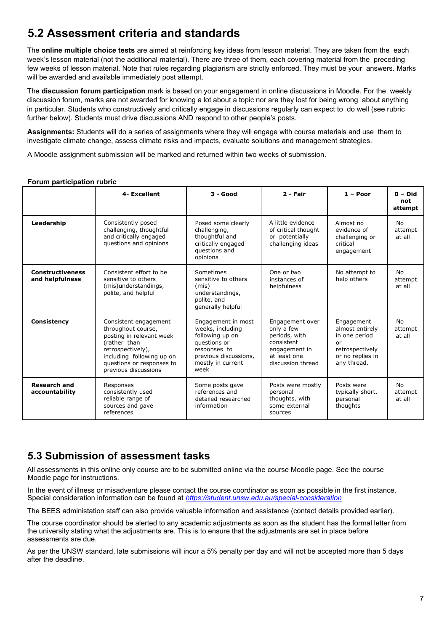# **5.2 Assessment criteria and standards**

The **online multiple choice tests** are aimed at reinforcing key ideas from lesson material. They are taken from the each week's lesson material (not the additional material). There are three of them, each covering material from the preceding few weeks of lesson material. Note that rules regarding plagiarism are strictly enforced. They must be your answers. Marks will be awarded and available immediately post attempt.

The **discussion forum participation** mark is based on your engagement in online discussions in Moodle. For the weekly discussion forum, marks are not awarded for knowing a lot about a topic nor are they lost for being wrong about anything in particular. Students who constructively and critically engage in discussions regularly can expect to do well (see rubric further below). Students must drive discussions AND respond to other people's posts.

**Assignments:** Students will do a series of assignments where they will engage with course materials and use them to investigate climate change, assess climate risks and impacts, evaluate solutions and management strategies.

A Moodle assignment submission will be marked and returned within two weeks of submission.

#### **Forum participation rubric**

|                                            | 4- Excellent                                                                                                                                                                                   | $3 - Good$                                                                                                                                      | $2 - Fair$                                                                                                         | $1 -$ Poor                                                                                                 | $0 - Did$<br>not<br>attempt    |
|--------------------------------------------|------------------------------------------------------------------------------------------------------------------------------------------------------------------------------------------------|-------------------------------------------------------------------------------------------------------------------------------------------------|--------------------------------------------------------------------------------------------------------------------|------------------------------------------------------------------------------------------------------------|--------------------------------|
| Leadership                                 | Consistently posed<br>challenging, thoughtful<br>and critically engaged<br>questions and opinions                                                                                              | Posed some clearly<br>challenging,<br>thoughtful and<br>critically engaged<br>questions and<br>opinions                                         | A little evidence<br>of critical thought<br>or potentially<br>challenging ideas                                    | Almost no<br>evidence of<br>challenging or<br>critical<br>engagement                                       | No<br>attempt<br>at all        |
| <b>Constructiveness</b><br>and helpfulness | Consistent effort to be<br>sensitive to others<br>(mis)understandings,<br>polite, and helpful                                                                                                  | Sometimes<br>sensitive to others<br>(mis)<br>understandings,<br>polite, and<br>generally helpful                                                | One or two<br>instances of<br>helpfulness                                                                          | No attempt to<br>help others                                                                               | No<br>attempt<br>at all        |
| <b>Consistency</b>                         | Consistent engagement<br>throughout course,<br>posting in relevant week<br>(rather than<br>retrospectively),<br>including following up on<br>questions or responses to<br>previous discussions | Engagement in most<br>weeks, including<br>following up on<br>questions or<br>responses to<br>previous discussions,<br>mostly in current<br>week | Engagement over<br>only a few<br>periods, with<br>consistent<br>engagement in<br>at least one<br>discussion thread | Engagement<br>almost entirely<br>in one period<br>or<br>retrospectively<br>or no replies in<br>any thread. | <b>No</b><br>attempt<br>at all |
| <b>Research and</b><br>accountability      | Responses<br>consistently used<br>reliable range of<br>sources and gave<br>references                                                                                                          | Some posts gave<br>references and<br>detailed researched<br>information                                                                         | Posts were mostly<br>personal<br>thoughts, with<br>some external<br>sources                                        | Posts were<br>typically short,<br>personal<br>thoughts                                                     | No<br>attempt<br>at all        |

#### **5.3 Submission of assessment tasks**

All assessments in this online only course are to be submitted online via the course Moodle page. See the course Moodle page for instructions.

In the event of illness or misadventure please contact the course coordinator as soon as possible in the first instance. Special consideration information can be found at *https://student.unsw.edu.au/special-consideration*

The BEES administation staff can also provide valuable information and assistance (contact details provided earlier).

The course coordinator should be alerted to any academic adjustments as soon as the student has the formal letter from the university stating what the adjustments are. This is to ensure that the adjustments are set in place before assessments are due.

As per the UNSW standard, late submissions will incur a 5% penalty per day and will not be accepted more than 5 days after the deadline.